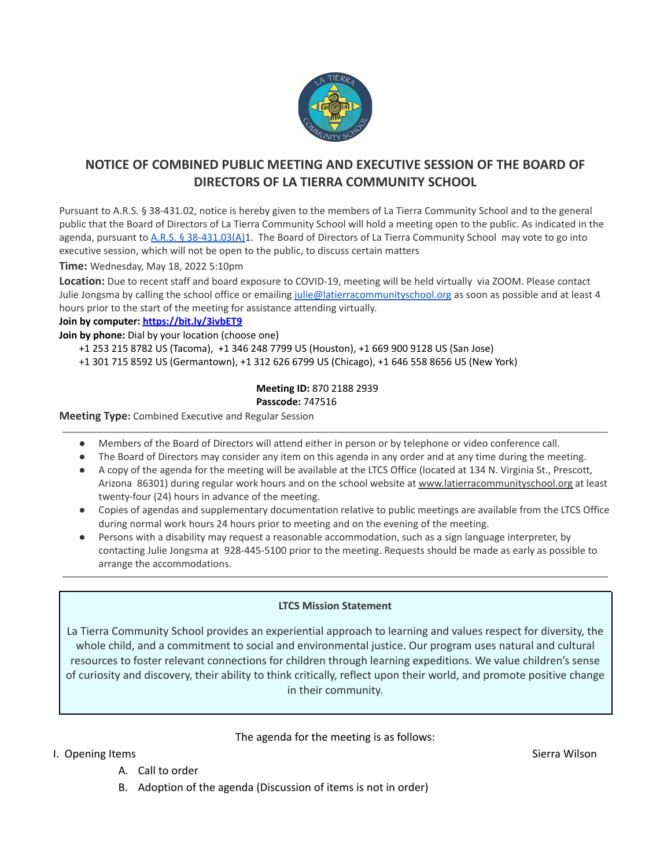

## **NOTICE OF COMBINED PUBLIC MEETING AND EXECUTIVE SESSION OF THE BOARD OF DIRECTORS OF LA TIERRA COMMUNITY SCHOOL**

Pursuant to A.R.S. § 38-431.02, notice is hereby given to the members of La Tierra Community School and to the general public that the Board of Directors of La Tierra Community School will hold a meeting open to the public. As indicated in the agenda, pursuant to A.R.S. § [38-431.03\(A\)1](https://www.azleg.gov/ars/38/00431-03.htm). The Board of Directors of La Tierra Community School may vote to go into executive session, which will not be open to the public, to discuss certain matters

**Time:** Wednesday, May 18, 2022 5:10pm

**Location:** Due to recent staff and board exposure to COVID-19, meeting will be held virtually via ZOOM. Please contact Julie Jongsma by calling the school office or emailing [julie@latierracommunityschool.org](mailto:julie@latierracommunityschool.org) as soon as possible and at least 4 hours prior to the start of the meeting for assistance attending virtually.

### **Join by computer: <https://bit.ly/3ivbET9>**

**Join by phone:** Dial by your location (choose one)

- +1 253 215 8782 US (Tacoma), +1 346 248 7799 US (Houston), +1 669 900 9128 US (San Jose)
- +1 301 715 8592 US (Germantown), +1 312 626 6799 US (Chicago), +1 646 558 8656 US (New York)

#### **Meeting ID:** 870 2188 2939 **Passcode:** 747516

**Meeting Type:** Combined Executive and Regular Session

- Members of the Board of Directors will attend either in person or by telephone or video conference call.
- The Board of Directors may consider any item on this agenda in any order and at any time during the meeting.
- A copy of the agenda for the meeting will be available at the LTCS Office (located at 134 N. Virginia St., Prescott, Arizona 86301) during regular work hours and on the school website at [www.latierracommunityschool.org](http://www.latierracommunityschool.org) at least twenty-four (24) hours in advance of the meeting.
- Copies of agendas and supplementary documentation relative to public meetings are available from the LTCS Office during normal work hours 24 hours prior to meeting and on the evening of the meeting.
- Persons with a disability may request a reasonable accommodation, such as a sign language interpreter, by contacting Julie Jongsma at 928-445-5100 prior to the meeting. Requests should be made as early as possible to arrange the accommodations.

### **LTCS Mission Statement**

La Tierra Community School provides an experiential approach to learning and values respect for diversity, the whole child, and a commitment to social and environmental justice. Our program uses natural and cultural resources to foster relevant connections for children through learning expeditions. We value children's sense of curiosity and discovery, their ability to think critically, reflect upon their world, and promote positive change in their community.

### The agenda for the meeting is as follows:

- I. Opening Items Sierra Wilson Sierra Wilson Sierra Wilson Sierra Wilson Sierra Wilson Sierra Wilson Sierra Wilson
	- A. Call to order
	- B. Adoption of the agenda (Discussion of items is not in order)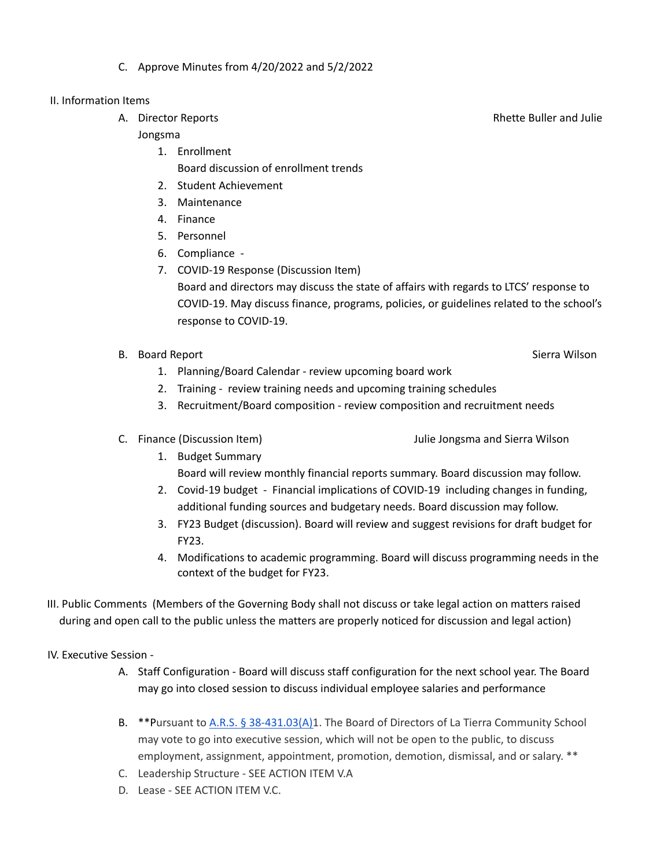C. Approve Minutes from 4/20/2022 and 5/2/2022

### II. Information Items

### Jongsma

- 1. Enrollment Board discussion of enrollment trends
- 2. Student Achievement
- 3. Maintenance
- 4. Finance
- 5. Personnel
- 6. Compliance -
- 7. COVID-19 Response (Discussion Item) Board and directors may discuss the state of affairs with regards to LTCS' response to COVID-19. May discuss finance, programs, policies, or guidelines related to the school's response to COVID-19.
- B. Board Report Sierra Wilson Sierra Wilson Sierra Wilson Sierra Wilson Sierra Wilson
	- 1. Planning/Board Calendar review upcoming board work
	- 2. Training review training needs and upcoming training schedules
	- 3. Recruitment/Board composition review composition and recruitment needs
- 
- C. Finance (Discussion Item) Julie Jongsma and Sierra Wilson
	- 1. Budget Summary Board will review monthly financial reports summary. Board discussion may follow.
	- 2. Covid-19 budget Financial implications of COVID-19 including changes in funding, additional funding sources and budgetary needs. Board discussion may follow.
	- 3. FY23 Budget (discussion). Board will review and suggest revisions for draft budget for FY23.
	- 4. Modifications to academic programming. Board will discuss programming needs in the context of the budget for FY23.
- III. Public Comments (Members of the Governing Body shall not discuss or take legal action on matters raised during and open call to the public unless the matters are properly noticed for discussion and legal action)

IV. Executive Session -

- A. Staff Configuration Board will discuss staff configuration for the next school year. The Board may go into closed session to discuss individual employee salaries and performance
- B. \*\*Pursuant to A.R.S. § [38-431.03\(A\)1](https://www.azleg.gov/ars/38/00431-03.htm). The Board of Directors of La Tierra Community School may vote to go into executive session, which will not be open to the public, to discuss employment, assignment, appointment, promotion, demotion, dismissal, and or salary. \*\*
- C. Leadership Structure SEE ACTION ITEM V.A
- D. Lease SEE ACTION ITEM V.C.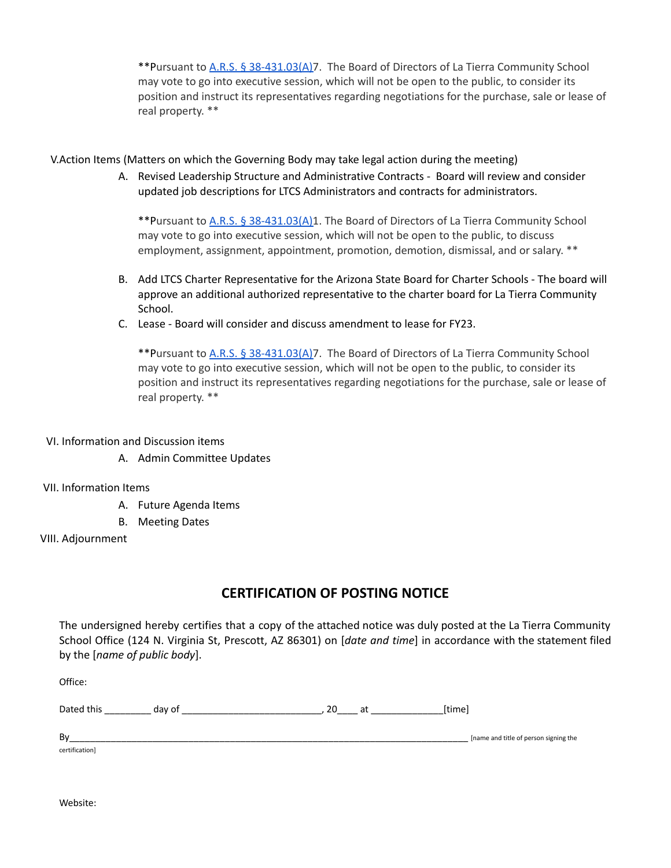\*\*Pursuant to A.R.S. § [38-431.03\(A\)7](https://www.azleg.gov/ars/38/00431-03.htm). The Board of Directors of La Tierra Community School may vote to go into executive session, which will not be open to the public, to consider its position and instruct its representatives regarding negotiations for the purchase, sale or lease of real property. \*\*

### V.Action Items (Matters on which the Governing Body may take legal action during the meeting)

A. Revised Leadership Structure and Administrative Contracts - Board will review and consider updated job descriptions for LTCS Administrators and contracts for administrators.

\*\*Pursuant to A.R.S. § [38-431.03\(A\)1](https://www.azleg.gov/ars/38/00431-03.htm). The Board of Directors of La Tierra Community School may vote to go into executive session, which will not be open to the public, to discuss employment, assignment, appointment, promotion, demotion, dismissal, and or salary. \*\*

- B. Add LTCS Charter Representative for the Arizona State Board for Charter Schools The board will approve an additional authorized representative to the charter board for La Tierra Community School.
- C. Lease Board will consider and discuss amendment to lease for FY23.

\*\*Pursuant to A.R.S. § [38-431.03\(A\)7](https://www.azleg.gov/ars/38/00431-03.htm). The Board of Directors of La Tierra Community School may vote to go into executive session, which will not be open to the public, to consider its position and instruct its representatives regarding negotiations for the purchase, sale or lease of real property. \*\*

### VI. Information and Discussion items

A. Admin Committee Updates

### VII. Information Items

- A. Future Agenda Items
- B. Meeting Dates

### VIII. Adjournment

# **CERTIFICATION OF POSTING NOTICE**

The undersigned hereby certifies that a copy of the attached notice was duly posted at the La Tierra Community School Office (124 N. Virginia St, Prescott, AZ 86301) on [*date and time*] in accordance with the statement filed by the [*name of public body*].

Office:

| $\sim$<br>$\sim$<br>Uđ |  |  |  |
|------------------------|--|--|--|
|------------------------|--|--|--|

| Bv |                                   | Iname and title of person signing the |
|----|-----------------------------------|---------------------------------------|
|    | and and the second control of the |                                       |

Website:

certification]